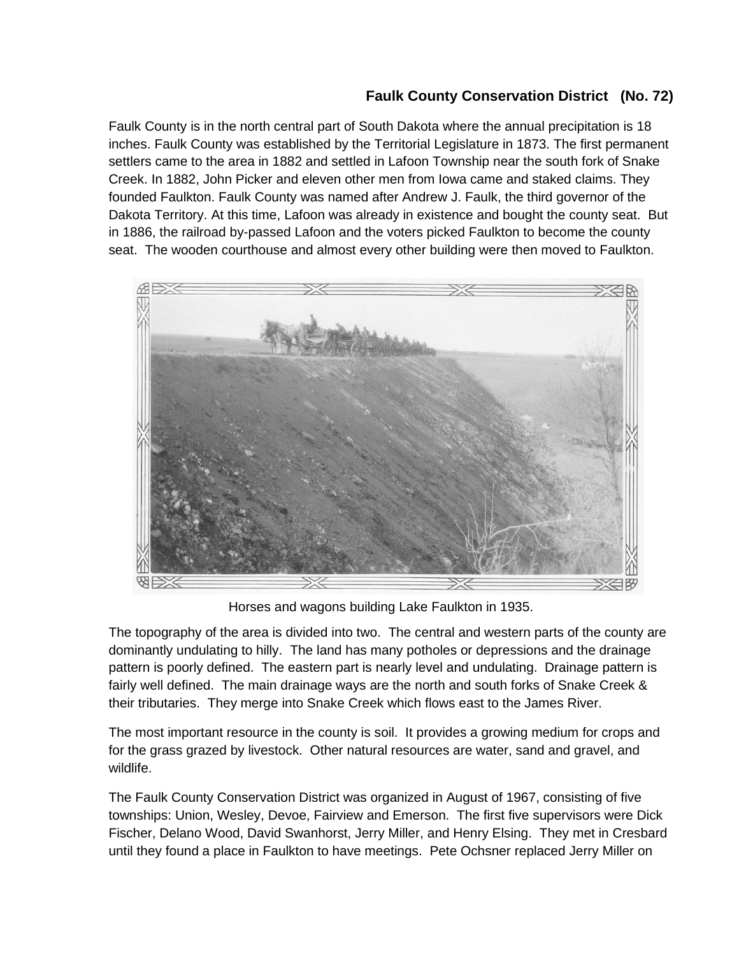## **Faulk County Conservation District (No. 72)**

Faulk County is in the north central part of South Dakota where the annual precipitation is 18 inches. Faulk County was established by the Territorial Legislature in 1873. The first permanent settlers came to the area in 1882 and settled in Lafoon Township near the south fork of Snake Creek. In 1882, John Picker and eleven other men from Iowa came and staked claims. They founded Faulkton. Faulk County was named after Andrew J. Faulk, the third governor of the Dakota Territory. At this time, Lafoon was already in existence and bought the county seat. But in 1886, the railroad by-passed Lafoon and the voters picked Faulkton to become the county seat. The wooden courthouse and almost every other building were then moved to Faulkton.



Horses and wagons building Lake Faulkton in 1935.

The topography of the area is divided into two. The central and western parts of the county are dominantly undulating to hilly. The land has many potholes or depressions and the drainage pattern is poorly defined. The eastern part is nearly level and undulating. Drainage pattern is fairly well defined. The main drainage ways are the north and south forks of Snake Creek & their tributaries. They merge into Snake Creek which flows east to the James River.

The most important resource in the county is soil. It provides a growing medium for crops and for the grass grazed by livestock. Other natural resources are water, sand and gravel, and wildlife.

The Faulk County Conservation District was organized in August of 1967, consisting of five townships: Union, Wesley, Devoe, Fairview and Emerson. The first five supervisors were Dick Fischer, Delano Wood, David Swanhorst, Jerry Miller, and Henry Elsing. They met in Cresbard until they found a place in Faulkton to have meetings. Pete Ochsner replaced Jerry Miller on